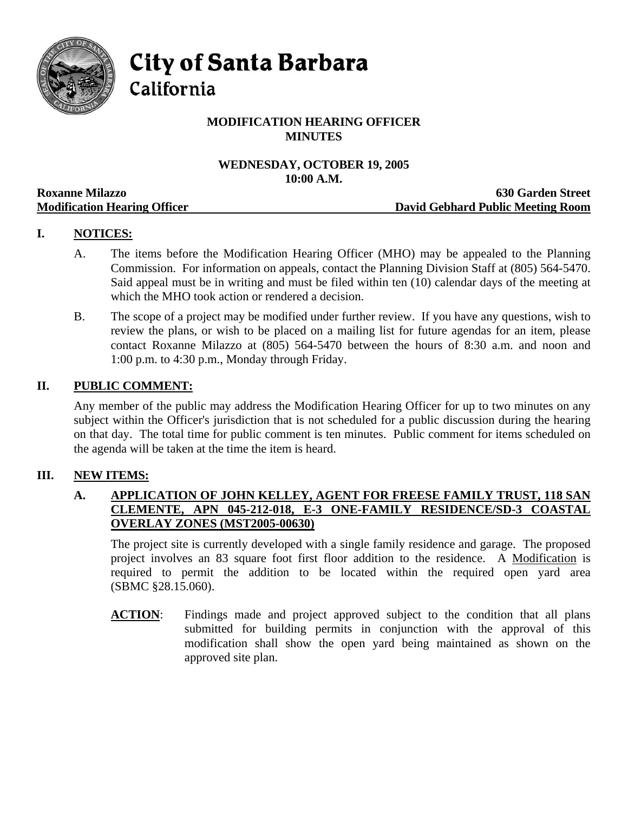

**City of Santa Barbara** 

California

# **MODIFICATION HEARING OFFICER MINUTES**

# **WEDNESDAY, OCTOBER 19, 2005 10:00 A.M.**

|                                     | TAYAAA TIRTAYII                   |
|-------------------------------------|-----------------------------------|
| <b>Roxanne Milazzo</b>              | <b>630 Garden Street</b>          |
| <b>Modification Hearing Officer</b> | David Gebhard Public Meeting Room |

# **I. NOTICES:**

- A. The items before the Modification Hearing Officer (MHO) may be appealed to the Planning Commission. For information on appeals, contact the Planning Division Staff at (805) 564-5470. Said appeal must be in writing and must be filed within ten (10) calendar days of the meeting at which the MHO took action or rendered a decision.
- B. The scope of a project may be modified under further review. If you have any questions, wish to review the plans, or wish to be placed on a mailing list for future agendas for an item, please contact Roxanne Milazzo at (805) 564-5470 between the hours of 8:30 a.m. and noon and 1:00 p.m. to 4:30 p.m., Monday through Friday.

## **II. PUBLIC COMMENT:**

Any member of the public may address the Modification Hearing Officer for up to two minutes on any subject within the Officer's jurisdiction that is not scheduled for a public discussion during the hearing on that day. The total time for public comment is ten minutes. Public comment for items scheduled on the agenda will be taken at the time the item is heard.

## **III. NEW ITEMS:**

## **A. APPLICATION OF JOHN KELLEY, AGENT FOR FREESE FAMILY TRUST, 118 SAN CLEMENTE, APN 045-212-018, E-3 ONE-FAMILY RESIDENCE/SD-3 COASTAL OVERLAY ZONES (MST2005-00630)**

The project site is currently developed with a single family residence and garage. The proposed project involves an 83 square foot first floor addition to the residence. A Modification is required to permit the addition to be located within the required open yard area (SBMC §28.15.060).

**ACTION:** Findings made and project approved subject to the condition that all plans submitted for building permits in conjunction with the approval of this modification shall show the open yard being maintained as shown on the approved site plan.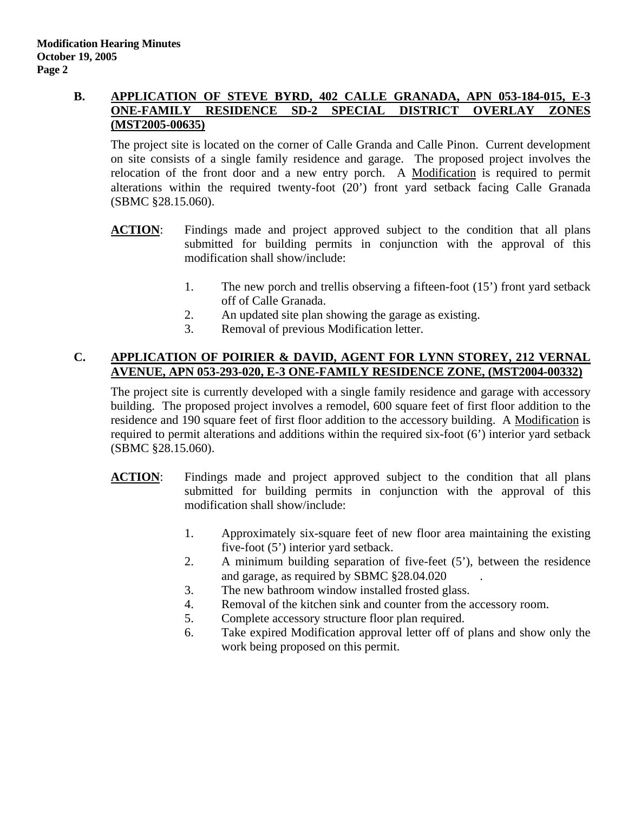#### **B. APPLICATION OF STEVE BYRD, 402 CALLE GRANADA, APN 053-184-015, E-3 ONE-FAMILY RESIDENCE SD-2 SPECIAL DISTRICT OVERLAY ZONES (MST2005-00635)**

The project site is located on the corner of Calle Granda and Calle Pinon. Current development on site consists of a single family residence and garage. The proposed project involves the relocation of the front door and a new entry porch. A Modification is required to permit alterations within the required twenty-foot (20') front yard setback facing Calle Granada (SBMC §28.15.060).

- **ACTION:** Findings made and project approved subject to the condition that all plans submitted for building permits in conjunction with the approval of this modification shall show/include:
	- 1. The new porch and trellis observing a fifteen-foot (15') front yard setback off of Calle Granada.
	- 2. An updated site plan showing the garage as existing.
	- 3. Removal of previous Modification letter.

## **C. APPLICATION OF POIRIER & DAVID, AGENT FOR LYNN STOREY, 212 VERNAL AVENUE, APN 053-293-020, E-3 ONE-FAMILY RESIDENCE ZONE, (MST2004-00332)**

The project site is currently developed with a single family residence and garage with accessory building. The proposed project involves a remodel, 600 square feet of first floor addition to the residence and 190 square feet of first floor addition to the accessory building. A Modification is required to permit alterations and additions within the required six-foot (6') interior yard setback (SBMC §28.15.060).

- **ACTION**: Findings made and project approved subject to the condition that all plans submitted for building permits in conjunction with the approval of this modification shall show/include:
	- 1. Approximately six-square feet of new floor area maintaining the existing five-foot (5') interior yard setback.
	- 2. A minimum building separation of five-feet (5'), between the residence and garage, as required by SBMC §28.04.020 .
	- 3. The new bathroom window installed frosted glass.
	- 4. Removal of the kitchen sink and counter from the accessory room.
	- 5. Complete accessory structure floor plan required.
	- 6. Take expired Modification approval letter off of plans and show only the work being proposed on this permit.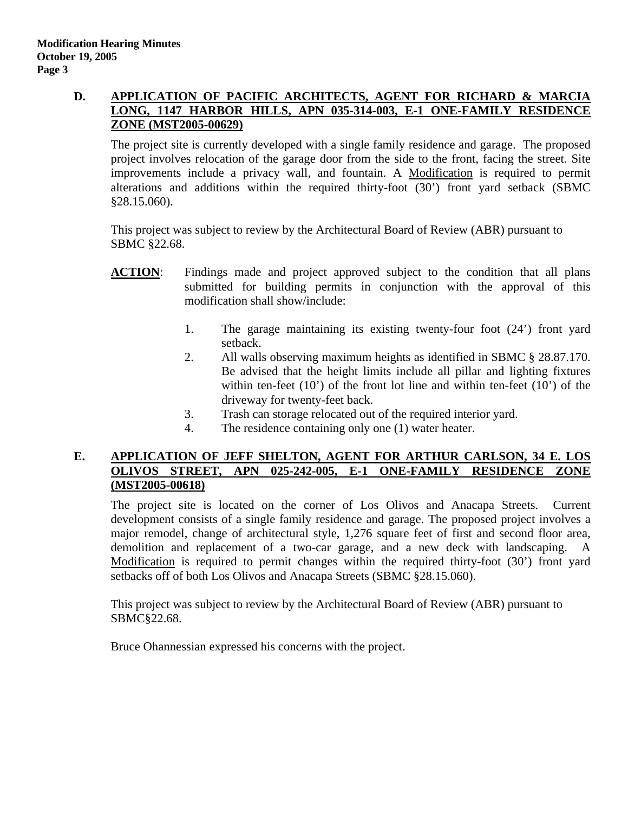#### **D. APPLICATION OF PACIFIC ARCHITECTS, AGENT FOR RICHARD & MARCIA LONG, 1147 HARBOR HILLS, APN 035-314-003, E-1 ONE-FAMILY RESIDENCE ZONE (MST2005-00629)**

The project site is currently developed with a single family residence and garage. The proposed project involves relocation of the garage door from the side to the front, facing the street. Site improvements include a privacy wall, and fountain. A Modification is required to permit alterations and additions within the required thirty-foot (30') front yard setback (SBMC §28.15.060).

This project was subject to review by the Architectural Board of Review (ABR) pursuant to SBMC §22.68.

- **ACTION**: Findings made and project approved subject to the condition that all plans submitted for building permits in conjunction with the approval of this modification shall show/include:
	- 1. The garage maintaining its existing twenty-four foot (24') front yard setback.
	- 2. All walls observing maximum heights as identified in SBMC § 28.87.170. Be advised that the height limits include all pillar and lighting fixtures within ten-feet  $(10')$  of the front lot line and within ten-feet  $(10')$  of the driveway for twenty-feet back.
	- 3. Trash can storage relocated out of the required interior yard.
	- 4. The residence containing only one (1) water heater.

#### **E. APPLICATION OF JEFF SHELTON, AGENT FOR ARTHUR CARLSON, 34 E. LOS OLIVOS STREET, APN 025-242-005, E-1 ONE-FAMILY RESIDENCE ZONE (MST2005-00618)**

The project site is located on the corner of Los Olivos and Anacapa Streets. Current development consists of a single family residence and garage. The proposed project involves a major remodel, change of architectural style, 1,276 square feet of first and second floor area, demolition and replacement of a two-car garage, and a new deck with landscaping. A Modification is required to permit changes within the required thirty-foot (30') front yard setbacks off of both Los Olivos and Anacapa Streets (SBMC §28.15.060).

This project was subject to review by the Architectural Board of Review (ABR) pursuant to SBMC§22.68.

Bruce Ohannessian expressed his concerns with the project.